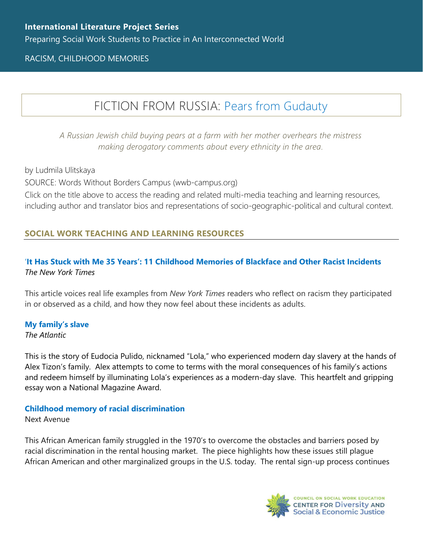### RACISM, CHILDHOOD MEMORIES

# FICTION FROM RUSSIA: [Pears from Gudauty](https://www.wwb-campus.org/literature/pears-from-gudauty)

*A Russian Jewish child buying pears at a farm with her mother overhears the mistress making derogatory comments about every ethnicity in the area.*

by Ludmila Ulitskaya

SOURCE: Words Without Borders Campus (wwb-campus.org)

Click on the title above to access the reading and related multi-media teaching and learning resources, including author and translator bios and representations of socio-geographic-political and cultural context.

## **SOCIAL WORK TEACHING AND LEARNING RESOURCES**

### '**[It Has Stuck with Me 35 Years': 11 Childhood Memories of Blackface and Other Racist Incidents](https://www.nytimes.com/2019/02/23/reader-center/memories-of-blackface.html)** *The New York Times*

This article voices real life examples from *New York Times* readers who reflect on racism they participated in or observed as a child, and how they now feel about these incidents as adults.

### **[My family's slave](https://www.theatlantic.com/magazine/archive/2017/06/lolas-story/524490/)**

#### *The Atlantic*

This is the story of Eudocia Pulido, nicknamed "Lola," who experienced modern day slavery at the hands of Alex Tizon's family. Alex attempts to come to terms with the moral consequences of his family's actions and redeem himself by illuminating Lola's experiences as a modern-day slave. This heartfelt and gripping essay won a National Magazine Award.

#### **[Childhood memory of racial discrimination](https://www.nextavenue.org/childhood-memories-racial-discrimination/)**

Next Avenue

This African American family struggled in the 1970's to overcome the obstacles and barriers posed by racial discrimination in the rental housing market. The piece highlights how these issues still plague African American and other marginalized groups in the U.S. today. The rental sign-up process continues